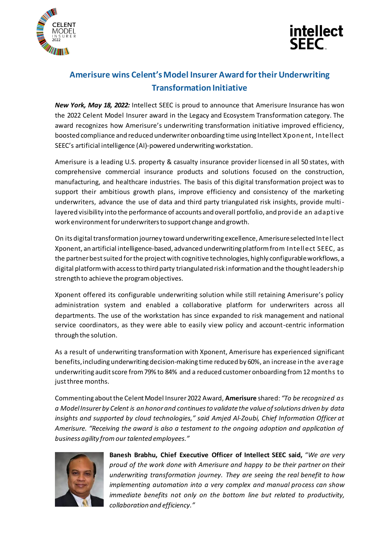



## **Amerisure wins Celent's Model Insurer Award for their Underwriting Transformation Initiative**

*New York, May 18, 2022:* Intellect SEEC is proud to announce that Amerisure Insurance has won the 2022 Celent Model Insurer award in the Legacy and Ecosystem Transformation category. The award recognizes how Amerisure's underwriting transformation initiative improved efficiency, boosted compliance and reduced underwriter onboarding time using Intellect Xponent, Intellect SEEC's artificial intelligence (AI)-powered underwriting workstation.

Amerisure is a leading U.S. property & casualty insurance provider licensed in all 50 states, with comprehensive commercial insurance products and solutions focused on the construction, manufacturing, and healthcare industries. The basis of this digital transformation project was to support their ambitious growth plans, improve efficiency and consistency of the marketing underwriters, advance the use of data and third party triangulated risk insights, provide multilayered visibility into the performance of accounts and overall portfolio, and provide an adaptive work environment for underwriters to support change and growth.

On its digital transformation journey toward underwriting excellence, Amerisure selected Intellect Xponent, an artificial intelligence-based, advanced underwriting platform from Intellect SEEC, as the partner best suited for the project with cognitive technologies, highly configurable workflows, a digital platform with access to third party triangulated risk information and the thought leadership strength to achieve the program objectives.

Xponent offered its configurable underwriting solution while still retaining Amerisure's policy administration system and enabled a collaborative platform for underwriters across all departments. The use of the workstation has since expanded to risk management and national service coordinators, as they were able to easily view policy and account-centric information through the solution.

As a result of underwriting transformation with Xponent, Amerisure has experienced significant benefits,including underwriting decision-making time reduced by 60%, an increase in the average underwriting audit score from 79% to 84% and a reduced customer onboarding from 12 months to just three months.

Commenting about the Celent Model Insurer 2022 Award, **Amerisure** shared: *"To be recognized as a Model Insurer by Celent is an honor and continues to validate the value of solutions driven by data insights and supported by cloud technologies," said Amjed Al-Zoubi, Chief Information Officer at Amerisure. "Receiving the award is also a testament to the ongoing adoption and application of business agility from our talented employees."*



**Banesh Brabhu, Chief Executive Officer of Intellect SEEC said,** "*We are very proud of the work done with Amerisure and happy to be their partner on their underwriting transformation journey. They are seeing the real benefit to how implementing automation into a very complex and manual process can show immediate benefits not only on the bottom line but related to productivity, collaboration and efficiency."*